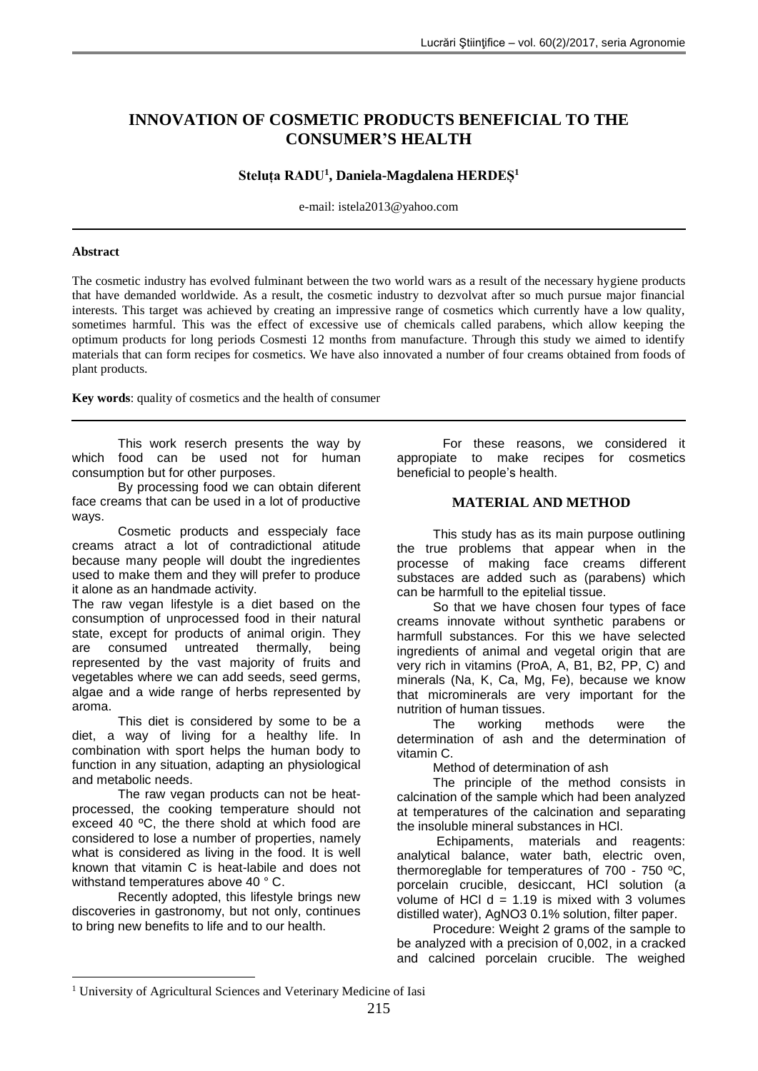# **INNOVATION OF COSMETIC PRODUCTS BENEFICIAL TO THE CONSUMER'S HEALTH**

## **Steluța RADU<sup>1</sup> , Daniela-Magdalena HERDEȘ<sup>1</sup>**

e-mail: istela2013@yahoo.com

### **Abstract**

The cosmetic industry has evolved fulminant between the two world wars as a result of the necessary hygiene products that have demanded worldwide. As a result, the cosmetic industry to dezvolvat after so much pursue major financial interests. This target was achieved by creating an impressive range of cosmetics which currently have a low quality, sometimes harmful. This was the effect of excessive use of chemicals called parabens, which allow keeping the optimum products for long periods Cosmesti 12 months from manufacture. Through this study we aimed to identify materials that can form recipes for cosmetics. We have also innovated a number of four creams obtained from foods of plant products.

**Key words**: quality of cosmetics and the health of consumer

This work reserch presents the way by which food can be used not for human consumption but for other purposes.

By processing food we can obtain diferent face creams that can be used in a lot of productive ways.

Cosmetic products and esspecialy face creams atract a lot of contradictional atitude because many people will doubt the ingredientes used to make them and they will prefer to produce it alone as an handmade activity.

The raw vegan lifestyle is a diet based on the consumption of unprocessed food in their natural state, except for products of animal origin. They are consumed untreated thermally, being represented by the vast majority of fruits and vegetables where we can add seeds, seed germs, algae and a wide range of herbs represented by aroma.

This diet is considered by some to be a diet, a way of living for a healthy life. In combination with sport helps the human body to function in any situation, adapting an physiological and metabolic needs.

The raw vegan products can not be heatprocessed, the cooking temperature should not exceed 40 ºC, the there shold at which food are considered to lose a number of properties, namely what is considered as living in the food. It is well known that vitamin C is heat-labile and does not withstand temperatures above 40 ° C.

Recently adopted, this lifestyle brings new discoveries in gastronomy, but not only, continues to bring new benefits to life and to our health.

1

For these reasons, we considered it appropiate to make recipes for cosmetics beneficial to people's health.

## **MATERIAL AND METHOD**

This study has as its main purpose outlining the true problems that appear when in the processe of making face creams different substaces are added such as (parabens) which can be harmfull to the epitelial tissue.

So that we have chosen four types of face creams innovate without synthetic parabens or harmfull substances. For this we have selected ingredients of animal and vegetal origin that are very rich in vitamins (ProA, A, B1, B2, PP, C) and minerals (Na, K, Ca, Mg, Fe), because we know that microminerals are very important for the nutrition of human tissues.

The working methods were the determination of ash and the determination of vitamin C.

Method of determination of ash

The principle of the method consists in calcination of the sample which had been analyzed at temperatures of the calcination and separating the insoluble mineral substances in HCl.

Echipaments, materials and reagents: analytical balance, water bath, electric oven, thermoreglable for temperatures of 700 - 750 ºC, porcelain crucible, desiccant, HCl solution (a volume of HCl  $d = 1.19$  is mixed with 3 volumes distilled water), AgNO3 0.1% solution, filter paper.

Procedure: Weight 2 grams of the sample to be analyzed with a precision of 0,002, in a cracked and calcined porcelain crucible. The weighed

<sup>&</sup>lt;sup>1</sup> University of Agricultural Sciences and Veterinary Medicine of Iasi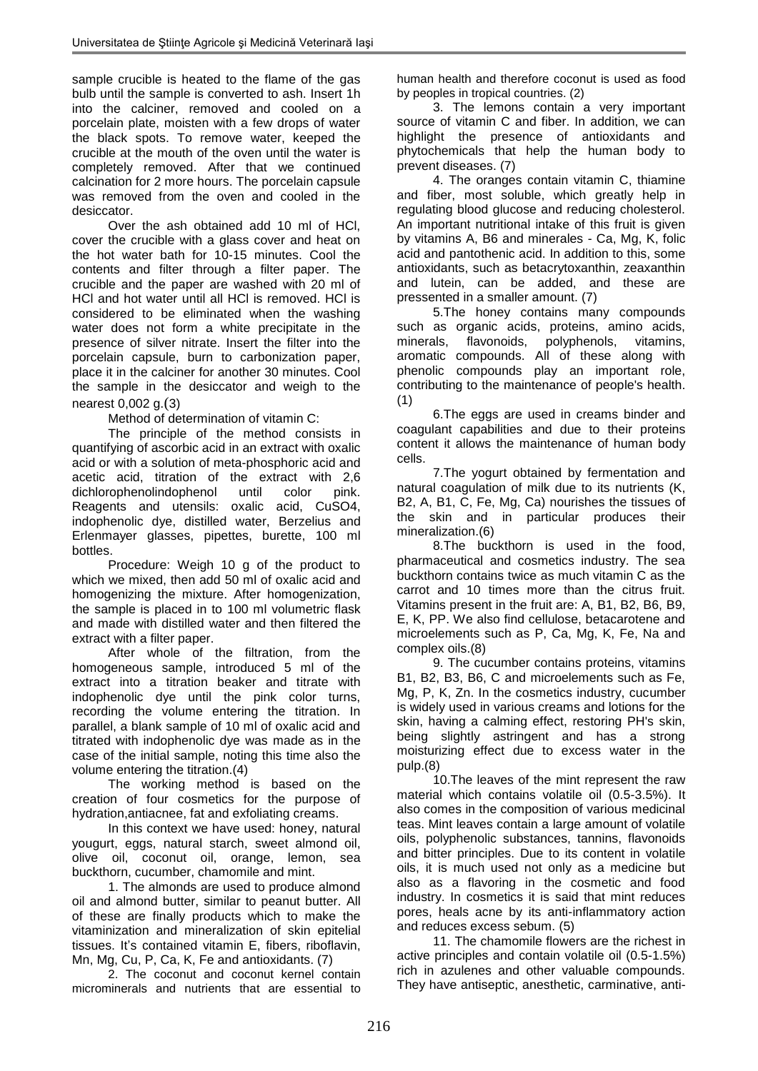sample crucible is heated to the flame of the gas bulb until the sample is converted to ash. Insert 1h into the calciner, removed and cooled on a porcelain plate, moisten with a few drops of water the black spots. To remove water, keeped the crucible at the mouth of the oven until the water is completely removed. After that we continued calcination for 2 more hours. The porcelain capsule was removed from the oven and cooled in the desiccator.

Over the ash obtained add 10 ml of HCl, cover the crucible with a glass cover and heat on the hot water bath for 10-15 minutes. Cool the contents and filter through a filter paper. The crucible and the paper are washed with 20 ml of HCl and hot water until all HCl is removed. HCl is considered to be eliminated when the washing water does not form a white precipitate in the presence of silver nitrate. Insert the filter into the porcelain capsule, burn to carbonization paper, place it in the calciner for another 30 minutes. Cool the sample in the desiccator and weigh to the nearest 0,002 g.(3)

Method of determination of vitamin C:

The principle of the method consists in quantifying of ascorbic acid in an extract with oxalic acid or with a solution of meta-phosphoric acid and acetic acid, titration of the extract with 2,6 dichlorophenolindophenol until color pink. Reagents and utensils: oxalic acid, CuSO4, indophenolic dye, distilled water, Berzelius and Erlenmayer glasses, pipettes, burette, 100 ml bottles.

Procedure: Weigh 10 g of the product to which we mixed, then add 50 ml of oxalic acid and homogenizing the mixture. After homogenization, the sample is placed in to 100 ml volumetric flask and made with distilled water and then filtered the extract with a filter paper.

After whole of the filtration, from the homogeneous sample, introduced 5 ml of the extract into a titration beaker and titrate with indophenolic dye until the pink color turns, recording the volume entering the titration. In parallel, a blank sample of 10 ml of oxalic acid and titrated with indophenolic dye was made as in the case of the initial sample, noting this time also the volume entering the titration.(4)

The working method is based on the creation of four cosmetics for the purpose of hydration,antiacnee, fat and exfoliating creams.

In this context we have used: honey, natural yougurt, eggs, natural starch, sweet almond oil, olive oil, coconut oil, orange, lemon, sea buckthorn, cucumber, chamomile and mint.

1. The almonds are used to produce almond oil and almond butter, similar to peanut butter. All of these are finally products which to make the vitaminization and mineralization of skin epitelial tissues. It's contained vitamin E, fibers, riboflavin, Mn, Mg, Cu, P, Ca, K, Fe and antioxidants. (7)

2. The coconut and coconut kernel contain microminerals and nutrients that are essential to human health and therefore coconut is used as food by peoples in tropical countries. (2)

3. The lemons contain a very important source of vitamin C and fiber. In addition, we can highlight the presence of antioxidants and phytochemicals that help the human body to prevent diseases. (7)

4. The oranges contain vitamin C, thiamine and fiber, most soluble, which greatly help in regulating blood glucose and reducing cholesterol. An important nutritional intake of this fruit is given by vitamins A, B6 and minerales - Ca, Mg, K, folic acid and pantothenic acid. In addition to this, some antioxidants, such as betacrytoxanthin, zeaxanthin and lutein, can be added, and these are pressented in a smaller amount. (7)

5.The honey contains many compounds such as organic acids, proteins, amino acids, minerals, flavonoids, polyphenols, vitamins, aromatic compounds. All of these along with phenolic compounds play an important role, contributing to the maintenance of people's health. (1)

6.The eggs are used in creams binder and coagulant capabilities and due to their proteins content it allows the maintenance of human body cells.

7.The yogurt obtained by fermentation and natural coagulation of milk due to its nutrients (K, B2, A, B1, C, Fe, Mg, Ca) nourishes the tissues of the skin and in particular produces their mineralization.(6)

8.The buckthorn is used in the food, pharmaceutical and cosmetics industry. The sea buckthorn contains twice as much vitamin C as the carrot and 10 times more than the citrus fruit. Vitamins present in the fruit are: A, B1, B2, B6, B9, E, K, PP. We also find cellulose, betacarotene and microelements such as P, Ca, Mg, K, Fe, Na and complex oils.(8)

9. The cucumber contains proteins, vitamins B1, B2, B3, B6, C and microelements such as Fe, Mg, P, K, Zn. In the cosmetics industry, cucumber is widely used in various creams and lotions for the skin, having a calming effect, restoring PH's skin, being slightly astringent and has a strong moisturizing effect due to excess water in the pulp.(8)

10.The leaves of the mint represent the raw material which contains volatile oil (0.5-3.5%). It also comes in the composition of various medicinal teas. Mint leaves contain a large amount of volatile oils, polyphenolic substances, tannins, flavonoids and bitter principles. Due to its content in volatile oils, it is much used not only as a medicine but also as a flavoring in the cosmetic and food industry. In cosmetics it is said that mint reduces pores, heals acne by its anti-inflammatory action and reduces excess sebum. (5)

11. The chamomile flowers are the richest in active principles and contain volatile oil (0.5-1.5%) rich in azulenes and other valuable compounds. They have antiseptic, anesthetic, carminative, anti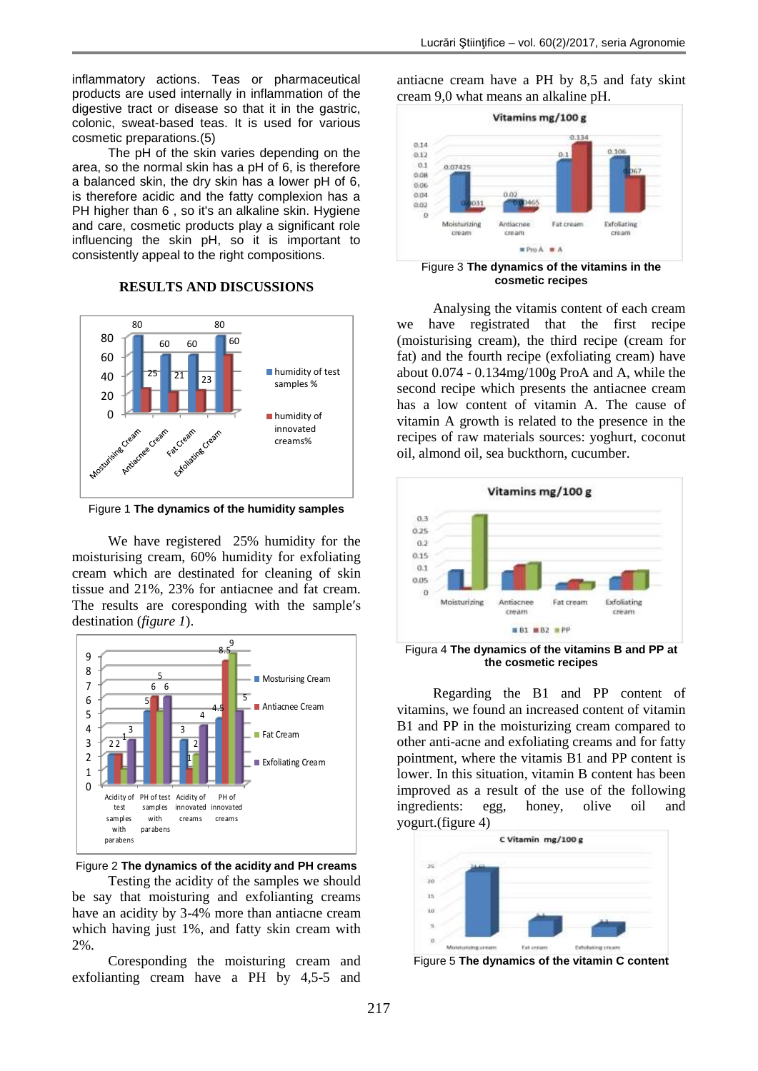inflammatory actions. Teas or pharmaceutical products are used internally in inflammation of the digestive tract or disease so that it in the gastric, colonic, sweat-based teas. It is used for various cosmetic preparations.(5)

The pH of the skin varies depending on the area, so the normal skin has a pH of 6, is therefore a balanced skin, the dry skin has a lower pH of 6, is therefore acidic and the fatty complexion has a PH higher than 6, so it's an alkaline skin. Hygiene and care, cosmetic products play a significant role influencing the skin pH, so it is important to consistently appeal to the right compositions.

## **RESULTS AND DISCUSSIONS**



Figure 1 **The dynamics of the humidity samples**

We have registered 25% humidity for the moisturising cream, 60% humidity for exfoliating cream which are destinated for cleaning of skin tissue and 21%, 23% for antiacnee and fat cream. The results are coresponding with the sample′s destination (*figure 1*).



Figure 2 **The dynamics of the acidity and PH creams** Testing the acidity of the samples we should

be say that moisturing and exfolianting creams have an acidity by 3-4% more than antiacne cream which having just 1%, and fatty skin cream with 2%.

Coresponding the moisturing cream and exfolianting cream have a PH by 4,5-5 and antiacne cream have a PH by 8,5 and faty skint cream 9,0 what means an alkaline pH.



**cosmetic recipes**

Analysing the vitamis content of each cream we have registrated that the first recipe (moisturising cream), the third recipe (cream for fat) and the fourth recipe (exfoliating cream) have about 0.074 - 0.134mg/100g ProA and A, while the second recipe which presents the antiacnee cream has a low content of vitamin A. The cause of vitamin A growth is related to the presence in the recipes of raw materials sources: yoghurt, coconut oil, almond oil, sea buckthorn, cucumber.



Figura 4 **The dynamics of the vitamins B and PP at the cosmetic recipes**

Regarding the B1 and PP content of vitamins, we found an increased content of vitamin B1 and PP in the moisturizing cream compared to other anti-acne and exfoliating creams and for fatty pointment, where the vitamis B1 and PP content is lower. In this situation, vitamin B content has been improved as a result of the use of the following ingredients: egg, honey, olive oil and yogurt.(figure 4)



Figure 5 **The dynamics of the vitamin C content**